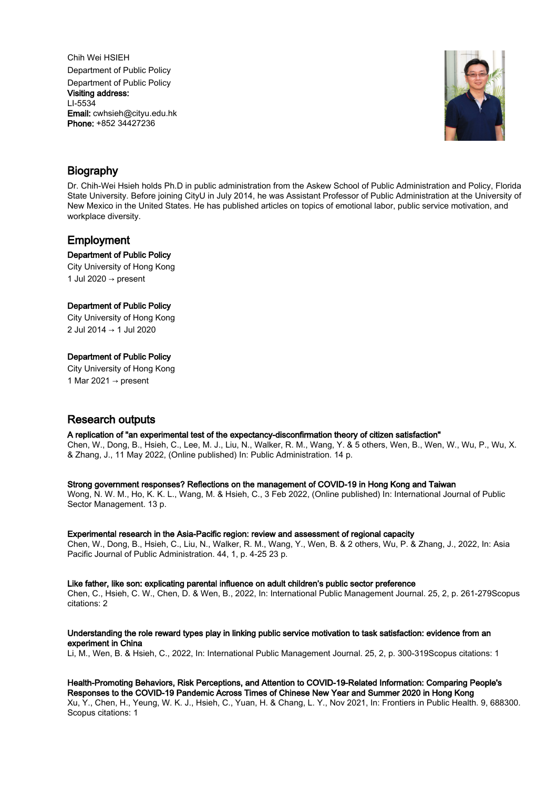Chih Wei HSIEH Department of Public Policy Department of Public Policy Visiting address: LI-5534 Email: cwhsieh@cityu.edu.hk Phone: +852 34427236



# Biography

Dr. Chih-Wei Hsieh holds Ph.D in public administration from the Askew School of Public Administration and Policy, Florida State University. Before joining CityU in July 2014, he was Assistant Professor of Public Administration at the University of New Mexico in the United States. He has published articles on topics of emotional labor, public service motivation, and workplace diversity.

# Employment

# Department of Public Policy

City University of Hong Kong 1 Jul 2020  $\rightarrow$  present

# Department of Public Policy

City University of Hong Kong 2 Jul 2014 → 1 Jul 2020

# Department of Public Policy

City University of Hong Kong 1 Mar 2021  $\rightarrow$  present

# Research outputs

# A replication of "an experimental test of the expectancy-disconfirmation theory of citizen satisfaction"

Chen, W., Dong, B., Hsieh, C., Lee, M. J., Liu, N., Walker, R. M., Wang, Y. & 5 others, Wen, B., Wen, W., Wu, P., Wu, X. & Zhang, J., 11 May 2022, (Online published) In: Public Administration. 14 p.

# Strong government responses? Reflections on the management of COVID-19 in Hong Kong and Taiwan

Wong, N. W. M., Ho, K. K. L., Wang, M. & Hsieh, C., 3 Feb 2022, (Online published) In: International Journal of Public Sector Management. 13 p.

# Experimental research in the Asia-Pacific region: review and assessment of regional capacity

Chen, W., Dong, B., Hsieh, C., Liu, N., Walker, R. M., Wang, Y., Wen, B. & 2 others, Wu, P. & Zhang, J., 2022, In: Asia Pacific Journal of Public Administration. 44, 1, p. 4-25 23 p.

# Like father, like son: explicating parental influence on adult children's public sector preference

Chen, C., Hsieh, C. W., Chen, D. & Wen, B., 2022, In: International Public Management Journal. 25, 2, p. 261-279Scopus citations: 2

# Understanding the role reward types play in linking public service motivation to task satisfaction: evidence from an experiment in China

Li, M., Wen, B. & Hsieh, C., 2022, In: International Public Management Journal. 25, 2, p. 300-319Scopus citations: 1

#### Health-Promoting Behaviors, Risk Perceptions, and Attention to COVID-19-Related Information: Comparing People's Responses to the COVID-19 Pandemic Across Times of Chinese New Year and Summer 2020 in Hong Kong

Xu, Y., Chen, H., Yeung, W. K. J., Hsieh, C., Yuan, H. & Chang, L. Y., Nov 2021, In: Frontiers in Public Health. 9, 688300. Scopus citations: 1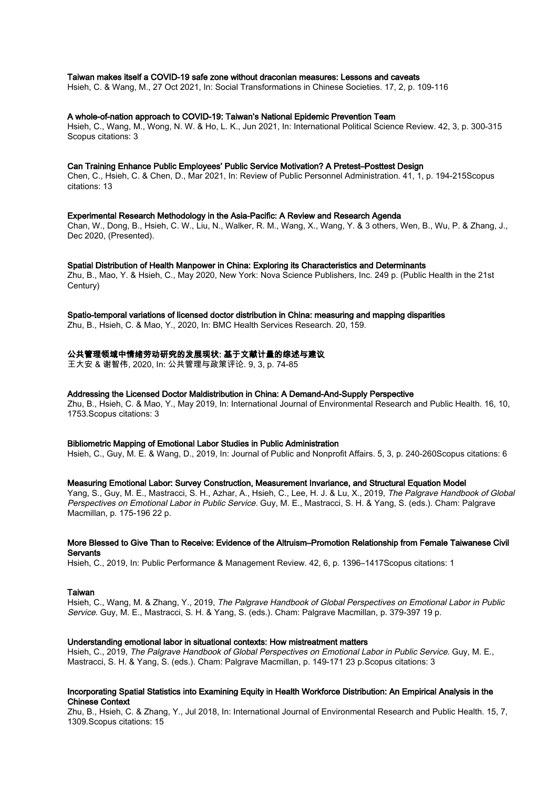#### Taiwan makes itself a COVID-19 safe zone without draconian measures: Lessons and caveats

Hsieh, C. & Wang, M., 27 Oct 2021, In: Social Transformations in Chinese Societies. 17, 2, p. 109-116

#### A whole-of-nation approach to COVID-19: Taiwan's National Epidemic Prevention Team

Hsieh, C., Wang, M., Wong, N. W. & Ho, L. K., Jun 2021, In: International Political Science Review. 42, 3, p. 300-315 Scopus citations: 3

#### Can Training Enhance Public Employees' Public Service Motivation? A Pretest–Posttest Design

Chen, C., Hsieh, C. & Chen, D., Mar 2021, In: Review of Public Personnel Administration. 41, 1, p. 194-215Scopus citations: 13

### Experimental Research Methodology in the Asia-Pacific: A Review and Research Agenda

Chan, W., Dong, B., Hsieh, C. W., Liu, N., Walker, R. M., Wang, X., Wang, Y. & 3 others, Wen, B., Wu, P. & Zhang, J., Dec 2020, (Presented).

#### Spatial Distribution of Health Manpower in China: Exploring its Characteristics and Determinants

Zhu, B., Mao, Y. & Hsieh, C., May 2020, New York: Nova Science Publishers, Inc. 249 p. (Public Health in the 21st Century)

# Spatio-temporal variations of licensed doctor distribution in China: measuring and mapping disparities

Zhu, B., Hsieh, C. & Mao, Y., 2020, In: BMC Health Services Research. 20, 159.

#### 公共管理领域中情绪劳动研究的发展现状: 基于文献计量的综述与建议

王大安 & 谢智伟, 2020, In: 公共管理与政策评论. 9, 3, p. 74-85

#### Addressing the Licensed Doctor Maldistribution in China: A Demand-And-Supply Perspective

Zhu, B., Hsieh, C. & Mao, Y., May 2019, In: International Journal of Environmental Research and Public Health. 16, 10, 1753.Scopus citations: 3

#### Bibliometric Mapping of Emotional Labor Studies in Public Administration

Hsieh, C., Guy, M. E. & Wang, D., 2019, In: Journal of Public and Nonprofit Affairs. 5, 3, p. 240-260Scopus citations: 6

#### Measuring Emotional Labor: Survey Construction, Measurement Invariance, and Structural Equation Model

Yang, S., Guy, M. E., Mastracci, S. H., Azhar, A., Hsieh, C., Lee, H. J. & Lu, X., 2019, The Palgrave Handbook of Global Perspectives on Emotional Labor in Public Service. Guy, M. E., Mastracci, S. H. & Yang, S. (eds.). Cham: Palgrave Macmillan, p. 175-196 22 p.

#### More Blessed to Give Than to Receive: Evidence of the Altruism–Promotion Relationship from Female Taiwanese Civil **Servants**

Hsieh, C., 2019, In: Public Performance & Management Review. 42, 6, p. 1396–1417Scopus citations: 1

### Taiwan

Hsieh, C., Wang, M. & Zhang, Y., 2019, The Palgrave Handbook of Global Perspectives on Emotional Labor in Public Service. Guy, M. E., Mastracci, S. H. & Yang, S. (eds.). Cham: Palgrave Macmillan, p. 379-397 19 p.

#### Understanding emotional labor in situational contexts: How mistreatment matters

Hsieh, C., 2019, The Palgrave Handbook of Global Perspectives on Emotional Labor in Public Service. Guy, M. E., Mastracci, S. H. & Yang, S. (eds.). Cham: Palgrave Macmillan, p. 149-171 23 p.Scopus citations: 3

# Incorporating Spatial Statistics into Examining Equity in Health Workforce Distribution: An Empirical Analysis in the Chinese Context

Zhu, B., Hsieh, C. & Zhang, Y., Jul 2018, In: International Journal of Environmental Research and Public Health. 15, 7, 1309.Scopus citations: 15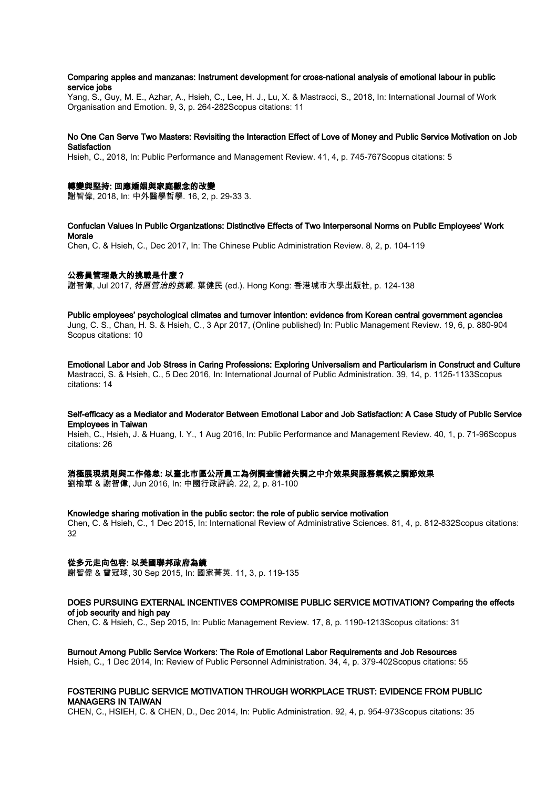### Comparing apples and manzanas: Instrument development for cross-national analysis of emotional labour in public service jobs

Yang, S., Guy, M. E., Azhar, A., Hsieh, C., Lee, H. J., Lu, X. & Mastracci, S., 2018, In: International Journal of Work Organisation and Emotion. 9, 3, p. 264-282Scopus citations: 11

#### No One Can Serve Two Masters: Revisiting the Interaction Effect of Love of Money and Public Service Motivation on Job Satisfaction

Hsieh, C., 2018, In: Public Performance and Management Review. 41, 4, p. 745-767Scopus citations: 5

#### 轉變與堅持: 回應婚姻與家庭觀念的改變

謝智偉, 2018, In: 中外醫學哲學. 16, 2, p. 29-33 3.

# Confucian Values in Public Organizations: Distinctive Effects of Two Interpersonal Norms on Public Employees' Work Morale

Chen, C. & Hsieh, C., Dec 2017, In: The Chinese Public Administration Review. 8, 2, p. 104-119

# 公務員管理最大的挑戰是什麼?

謝智偉, Jul 2017, *特區管治的挑戰.* 葉健民 (ed.). Hong Kong: 香港城市大學出版社, p. 124-138

#### Public employees' psychological climates and turnover intention: evidence from Korean central government agencies

Jung, C. S., Chan, H. S. & Hsieh, C., 3 Apr 2017, (Online published) In: Public Management Review. 19, 6, p. 880-904 Scopus citations: 10

Emotional Labor and Job Stress in Caring Professions: Exploring Universalism and Particularism in Construct and Culture Mastracci, S. & Hsieh, C., 5 Dec 2016, In: International Journal of Public Administration. 39, 14, p. 1125-1133Scopus citations: 14

# Self-efficacy as a Mediator and Moderator Between Emotional Labor and Job Satisfaction: A Case Study of Public Service Employees in Taiwan

Hsieh, C., Hsieh, J. & Huang, I. Y., 1 Aug 2016, In: Public Performance and Management Review. 40, 1, p. 71-96Scopus citations: 26

#### 消極展現規則與工作倦怠: 以臺北市區公所員工為例調查情緒失調之中介效果與服務氣候之調節效果

劉榆華 & 謝智偉, Jun 2016, In: 中國行政評論. 22, 2, p. 81-100

#### Knowledge sharing motivation in the public sector: the role of public service motivation

Chen, C. & Hsieh, C., 1 Dec 2015, In: International Review of Administrative Sciences. 81, 4, p. 812-832Scopus citations:  $32$ 

# 從多元走向包容: 以美國聯邦政府為鏡

謝智偉 & 曾冠球, 30 Sep 2015, In: 國家菁英. 11, 3, p. 119-135

#### DOES PURSUING EXTERNAL INCENTIVES COMPROMISE PUBLIC SERVICE MOTIVATION? Comparing the effects of job security and high pay

Chen, C. & Hsieh, C., Sep 2015, In: Public Management Review. 17, 8, p. 1190-1213Scopus citations: 31

#### Burnout Among Public Service Workers: The Role of Emotional Labor Requirements and Job Resources

Hsieh, C., 1 Dec 2014, In: Review of Public Personnel Administration. 34, 4, p. 379-402Scopus citations: 55

# FOSTERING PUBLIC SERVICE MOTIVATION THROUGH WORKPLACE TRUST: EVIDENCE FROM PUBLIC MANAGERS IN TAIWAN

CHEN, C., HSIEH, C. & CHEN, D., Dec 2014, In: Public Administration. 92, 4, p. 954-973Scopus citations: 35